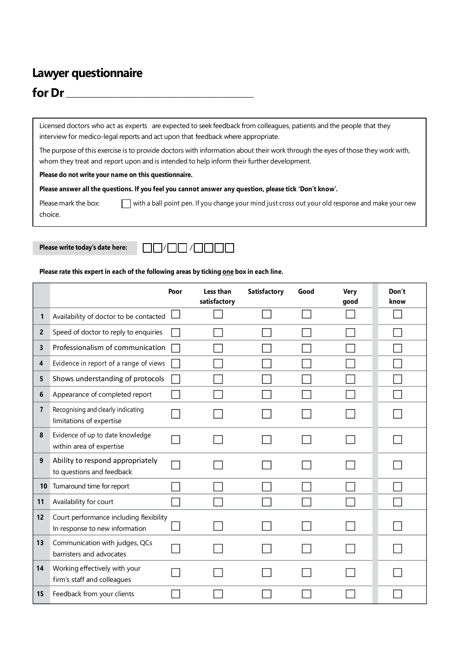# **Lawyer questionnaire**

## **for Dr** \_\_\_\_\_\_\_\_\_\_\_\_\_\_\_\_\_\_\_\_\_\_\_\_\_\_\_\_\_\_\_\_\_\_\_\_\_\_\_\_\_\_\_\_\_\_\_\_\_\_\_\_\_\_\_\_

Licensed doctors who act as experts are expected to seek feedback from colleagues, patients and the people that they interview for medico-legal reports and act upon that feedback where appropriate.

The purpose of this exercise is to provide doctors with information about their work through the eyes of those they work with, whom they treat and report upon and is intended to help inform their further development.

#### **Please do not write your name on this questionnaire.**

Please answer all the questions. If you feel you cannot answer any question, please tick 'Don't know'.

Please mark the box: with a ball point pen. If you change your mind just cross out your old response and make your new choice.



#### **Please rate this expert in each of the following areas by ticking one box in each line.**

|                |                                                                           | Poor | Less than<br>satisfactory | Satisfactory | Good | <b>Very</b><br>good | Don't<br>know |
|----------------|---------------------------------------------------------------------------|------|---------------------------|--------------|------|---------------------|---------------|
| 1              | Availability of doctor to be contacted                                    |      |                           |              |      |                     |               |
| $\mathbf{2}$   | Speed of doctor to reply to enquiries                                     |      |                           |              |      |                     |               |
| 3              | Professionalism of communication                                          |      |                           |              |      |                     |               |
| 4              | Evidence in report of a range of views                                    |      |                           |              |      |                     |               |
| 5              | Shows understanding of protocols                                          |      |                           |              |      |                     |               |
| 6              | Appearance of completed report                                            |      |                           |              |      |                     |               |
| $\overline{7}$ | Recognising and clearly indicating<br>limitations of expertise            |      |                           |              |      |                     |               |
| 8              | Evidence of up to date knowledge<br>within area of expertise              |      |                           |              |      |                     |               |
| 9              | Ability to respond appropriately<br>to questions and feedback             |      |                           |              |      |                     |               |
| 10             | Turnaround time for report                                                |      |                           |              |      |                     |               |
| 11             | Availability for court                                                    |      |                           |              |      |                     |               |
| 12             | Court performance including flexibility<br>In response to new information |      |                           |              |      |                     |               |
| 13             | Communication with judges, QCs<br>barristers and advocates                |      |                           |              |      |                     |               |
| 14             | Working effectively with your<br>firm's staff and colleagues              |      |                           |              |      |                     |               |
| 15             | Feedback from your clients                                                |      |                           |              |      |                     |               |